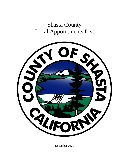# Shasta County Local Appointments List



December 2021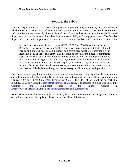# **Notice to the Public**

The Local Appointments List is a list of all regular and ongoing boards, committees, and commissions to which the Board of Supervisors of the County of Shasta appoints members. These boards, committees, and commissions are created by State or Federal law, County ordinance, or by action of the Board of Supervisors, and provide forums for citizen input and accessibility to County government. The Board of Supervisors relies on these groups to advise them on a wide range of issues affecting their constituencies.

Pursuant to Government Code sections 54970-54974 (the "Maddy Act"): On or before December 31 of each year, each legislative body shall prepare an appointments list of all regular and ongoing boards, commissions, and committees which are appointed by the legislative body of the local agency. This list shall be known as the Local Appointments List. The list shall contain the following information: (a) A list of all appointive terms which will expire during the next calendar year, with the name of the incumbent appointee, the date of appointment, the date the term expires, and the necessary qualifications for the position; (b) A list of all boards, commissions, and committees whose members serve at the pleasure of the legislative body, and the necessary qualifications for each position.

Anyone wishing to apply for a vacant position or a position with an upcoming expiration date may request an application from the Clerk of the Board of Supervisors, located at the Shasta County Administration Center, 1450 Court Street, Suite 308B, Redding, CA 96001. The Clerk of the Board can be reached at (530) 225-5550 or via email at [clerkoftheboard@co.shasta.ca.us.](mailto:clerkoftheboard@co.shasta.ca.us) The application is also available on the Committees and Commission page on the County website, at [https://www.co.shasta.ca.us/index/cob\\_index/committees-and-commissions.](https://www.co.shasta.ca.us/index/cob_index/committees-and-commissions)

**Note:** The names on this list are subject to change, based on term expirations and resignations that may occur during the year. For updates, please contact the Clerk of the Board.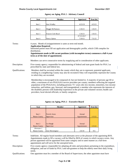#### **Shasta County Local Appointments List December 2021**

| <b>Seat</b> | Member            | Appointed  | Term End |
|-------------|-------------------|------------|----------|
|             |                   |            |          |
| Seat 1      | Staci Wadley      | 4/23/19    | 4/23/23  |
|             |                   |            |          |
| Seat 2      | Maggie McNamara   | 1/26/21    | 1/26/25  |
|             |                   |            |          |
| Seat 3      | Frances Cole-Boyd | 1/26/21    | 1/26/25  |
|             |                   | 07/25/2017 |          |
| Seat 4      | Nancy Quirus      | 7/20/21    | 7/31/25  |

#### **Agency on Aging, PSA 2 - Advisory Council**

### Terms: 4 years. Month of (re)appointment is same as term end month.

**Application Required.**

Interested parties must fill out application and demographic profile, which COB compiles for distribution.

**Appointments made to fill vacant positions (with incomplete terms) commence a full 4-year term as of the date of appointment.**

Members can serve consecutive terms by reapplying and in consideration of other applicants.

Description: Five-county agency; responsible for administering of federal and state grant funds for PSA 2 as prescribed by state and federal law.

Qualifications: Members shall be recruited within the county which they are to represent; potential applicants residing in a neighboring County may also be recruited if they will responsibly represent the County in which they are recruited.

> Membership is encouraged to be composed of, but not limited to: A majority of persons age 60 or older; a maximum of two PSA2AAA service providers per county; members reflecting the targeted population of the PSA2AAA, including persons 75+ years old, low-income, minorities, low-income minorities, and lesbian, gay, bisexual, and transgendered; a member who represents the interests of the disabled; persons with leadership experience in the private and volunteer sectors; health care providers; local elected officials; or family caregivers.

| <b>Seat</b>          | Member               | Appointed   | Term End |
|----------------------|----------------------|-------------|----------|
|                      |                      |             |          |
|                      |                      |             |          |
| Seat 1               | <b>Patrick Jones</b> | Annual      |          |
| Shasta County        | Supervisor           | Appointment | 1/15/22  |
|                      |                      |             |          |
|                      |                      |             |          |
| Seat 2               | Les Baugh            | Annual      |          |
| <b>Shasta County</b> | Supervisor           | Appointment | 1/15/22  |
| Alternate 1          |                      |             |          |
| Shasta County        | Ann Morningstar      | 2/6/18      | N/A      |

|  |  |  |  |  | <b>Agency on Aging, PSA 2 - Executive Board</b> |  |
|--|--|--|--|--|-------------------------------------------------|--|
|--|--|--|--|--|-------------------------------------------------|--|

Terms: Indefinite. All regular board members and alternates serve at the pleasure of the appointing BOS. Appointments made to fill a vacancy will be filled by BOS of county in which vacancy exists. Any person appointed will be appointed from same category and in same manner as a full-term appointment and will serve for the unexpired term. Description: Five-county agency; responsible for adopting all rules and procedures pertaining to the expenditure, obligation, and use of funds by PSA 2 and sub-grantees to help the elderly meet their daily living needs.

Qualifications: One appointee must be a member of the Board of Supervisors; the other appointee must have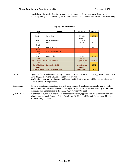knowledge of the needs of seniors, experience in community-based programs, demonstrated leadership ability as determined by the Board of Supervisors, and must be a citizen of Shasta County.

| Seat                    | Member                 | Appointed   | Term End |
|-------------------------|------------------------|-------------|----------|
| Seat 1                  |                        |             |          |
| District 1              | James Berg             | 5/11/21     | 1/3/22   |
|                         |                        | 03/14/17    |          |
| Seat 2                  | Betty Harrison-Smith   | 12/04/18    |          |
| District 2              | Chair                  | 1/12/21     | 1/2/23   |
| Seat 3                  |                        |             |          |
| District 3              | Erica Haedrich         | 3/16/21     | 1/2/23   |
| Seat 4                  |                        |             |          |
| District 4              | VACANT as of $1/4/21$  |             | 1/2/23   |
| Seat 5                  |                        |             |          |
| District 5              | <b>Bonnie Giles</b>    | 12/7/21     | 1/3/22   |
| Seat 6                  |                        | Annual      |          |
| City of Shasta Lake     | <b>Kristie Mathews</b> | Appointment | 12/31/22 |
| Seat 7                  |                        | Annual      |          |
| City of Redding         | Barbara Ghidinelli     | Appointment | 1/3/22   |
| Seat 8                  |                        | Annual      |          |
| <b>City of Anderson</b> | VACANT as of 1/1/20    | Appointment | 1/1/22   |

#### **Aging, Commission on**

Terms: 2 years, to first Monday after January 1<sup>st</sup>. Districts 1 and 5, CoR, and CoSL appointed in even years; Districts 2, 3, and 4, and CoA in odd years, per bylaws. **Application required.** Applications and Demographic Profile form should be completed to meet the "50% over age 60" requirement. Description: Serves as direct communications line with older citizens & local organizations formed to render service to seniors. Also acts as central clearinghouse for senior matters in the county for the BOS and makes recommendations to the PSA 2 AAA Advisory Council. Qualifications: Eight members, one to reside in each supervisorial district, appointed by the Supervisor from that district; and one each from the Cities of Anderson, Redding, and Shasta Lake, appointed by their respective city councils.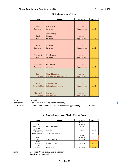| <b>Seat</b>       | Member                        | <b>Appointed</b> | <b>Term End</b> |
|-------------------|-------------------------------|------------------|-----------------|
|                   |                               |                  |                 |
|                   |                               |                  |                 |
| Seat 1            | <b>Mary Rickert</b>           | Annual           |                 |
| Supervisor        | Supervisor                    | Appointment      | 1/15/22         |
|                   | <b>Leonard Moty</b>           |                  |                 |
| Seat 2            | Chairman                      | Annual           |                 |
| Supervisor        | Supervisor                    | Appointment      | 1/15/22         |
|                   |                               |                  |                 |
|                   |                               |                  |                 |
| Seat <sub>3</sub> | Les Baugh                     | Annual           |                 |
| Supervisor        | Supervisor                    | Appointment      | 1/15/22         |
|                   |                               |                  |                 |
|                   |                               |                  |                 |
| Alternate 1       | <b>Patrick Jones</b>          | Annual           |                 |
| Supervisor        | Supervisor                    | Appointment      | 1/15/22         |
|                   |                               |                  |                 |
|                   |                               |                  |                 |
| Alternate 2       | Joe Chimenti                  | Annual           |                 |
| Supervisor        | Supervisor                    | Appointment      | 1/15/22         |
|                   |                               |                  |                 |
| Seat 4            |                               | Annual           |                 |
|                   | Michael Dacquisto             |                  | 1/15/22         |
| City of Redding   | Redding Mayor Pro Tempore     | Appointment      |                 |
|                   |                               |                  |                 |
| Seat 5            | Mark Mezzano                  | Annual           |                 |
| City of Redding   | <b>Redding Council Member</b> | Appointment      | 1/15/22         |
|                   |                               |                  |                 |
|                   |                               |                  |                 |
| Alternate 3       | <b>Erin Resner</b>            | Annual           |                 |
| City of Redding   | <b>Redding Mayor</b>          | Appointment      | 1/15/22         |

#### **Air Pollution Control Board**

Terms: Annual

Description: Deals with issues surrounding air quality.

Qualifications: Three County Supervisors and two members appointed by the City of Redding.

| <b>Seat</b>      | Member            | Appointed | Term End |
|------------------|-------------------|-----------|----------|
|                  |                   | 03/06/12  |          |
| Seat 1           |                   | 07/17/18  |          |
| Public Member #1 | Reggie Ceehorne   | 6/2/20    | 2/1/23   |
| Seat 2           |                   |           |          |
| Public Member #2 | John Snook        | 2/2/21    | 2/1/23   |
| Alternate for    |                   |           |          |
| Public Member #2 | Jacob Krumenacker | 2/2/21    | 2/1/23   |
|                  |                   | 10/28/97  |          |
| Seat 3           |                   | 07/17/18  |          |
| Medical          | Allen Krohn, M.D. | 6/25/19   | 7/31/22  |
| Seat 4           |                   |           |          |
| Attorney         | Amber Z. Lane     | 11/5/19   | 2/1/22   |
| Seat 5           |                   |           |          |
| Engineer         | David C. Brown    | 8/13/19   | 2/1/22   |

#### **Air Quality Management District Hearing Board**

Terms: Staggered 3-year terms. End in February. **Application required.**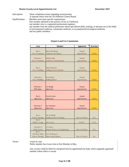#### **Shasta County Local Appointments List County Countries 2021**

Description: Hears compliance issues regarding issued permits.

A separate entity from the Air Pollution Control Board.

Qualifications: Members must meet specific requirements:

One member admitted to the practice of law in California;

one member who is a registered professional engineer;

one member from the medical profession whose specialized skills, training, or interests are in the fields of environmental medicine, community medicine, or occupational/toxicological medicine, and two public members.

# **Airport Land Use Commission**

| <b>Seat</b>                       | Member                                        | Appointed       | Term End |
|-----------------------------------|-----------------------------------------------|-----------------|----------|
|                                   |                                               |                 |          |
| Seat 1                            | <b>Baron Browning</b>                         | Annual          |          |
| City of Anderson                  | <b>Anderson Vice Mayor</b>                    | Appointment     | 1/15/22  |
| Alternate 1                       | Melissa Hunt                                  | Annual          |          |
| City of Anderson                  | <b>Anderson Councilmember</b>                 | Appointment     | 1/15/22  |
|                                   |                                               |                 |          |
|                                   |                                               |                 |          |
| Seat 2                            | Mark Mezzano                                  | Annual          |          |
| City of Redding                   | <b>Redding Council Member</b>                 | Appointment     | 1/15/22  |
|                                   |                                               |                 |          |
|                                   |                                               |                 |          |
| Alternate 2                       | <b>Erin Resner</b>                            | Annual          |          |
| City of Redding                   | <b>Redding Mayor</b>                          | Appointment     | 1/15/22  |
|                                   |                                               |                 |          |
|                                   |                                               |                 |          |
| Alternate 1                       | Les Baugh                                     | Annual          |          |
| <b>BOS</b> Appt.                  | Supervisor                                    | Appointment     | 1/15/22  |
|                                   |                                               |                 |          |
| Seat 4                            | <b>Patrick Jones</b>                          | Annual          |          |
| Supervisor                        | Supervisor                                    | Appointment     | 1/15/22  |
|                                   |                                               |                 |          |
|                                   |                                               |                 |          |
| Alternate 3                       | Joe Chimenti                                  | Annual          |          |
| Supervisor                        | Supervisor                                    | Appointment     | 1/15/22  |
|                                   |                                               |                 |          |
|                                   |                                               |                 |          |
| Seat 5                            | Jim Wadleigh                                  |                 |          |
| <b>Airport Manager</b>            | Redding Airports Manager                      | Due to Position | N/A      |
| Seat 6                            |                                               |                 |          |
| Public at Large                   | <b>Steve Frost</b>                            | 9/30/15         | 5/1/23   |
|                                   |                                               |                 |          |
| Alternate 4                       | Al Cathey                                     |                 |          |
| Public Works                      | Deputy Director of Engineering                | Due to Position | N/A      |
| Seat 7<br><b>Fall River Mills</b> |                                               |                 |          |
|                                   | Eric Wedemeyer<br><b>Supervising Engineer</b> | Due to Position |          |
| Airport Manager                   |                                               |                 | N/A      |

Terms: Varies by seat.

Public member has 4-year term to first Monday in May.

Any vacancy shall be filled for unexpired term by appointment by body which originally appointed member whose office is vacant.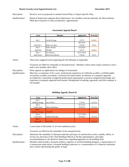#### **Shasta County Local Appointments List December 2021**

Description: Reviews/ acts on proposals to amend General Plan or Airport Specific Plan.

Qualifications: Board of Supervisors appoints three Supervisors: two members and one alternate; all other positions filled due to position or other jurisdictions' appointments.

#### **Assessment Appeals Board**

| <b>Seat</b>        | Member             | Appointed  | <b>Term End</b> |
|--------------------|--------------------|------------|-----------------|
|                    |                    |            |                 |
| Seat 1             | Gerald Watega      | 4/2/19     | 9/30/22         |
|                    |                    | 08/13/19   |                 |
| Alternate 1        | Robert H. Shaw     | 7/28/20    | 9/4/23          |
| Seat 2             | Kasey Stewart      | 2/25/2014  |                 |
| Appraisal          | Member             | 4/2/19     | 9/30/22         |
| Seat 3             | Ken Murray         | 02/27/2018 |                 |
| <b>Real Estate</b> | Real Estate Broker | 7/28/20    | 9/4/23          |

Terms: Three-year staggered terms beginning the first Monday in September.

Vacancies are filled for remainder of unexpired terms. Members whose terms expire continue to serve until a new member takes office.

Description: Hears appeals on applications for changes of assessment.

Qualifications: Must have a minimum of five years' professional experience in California as either a certified public accountant or public accountant, a licensed real estate broker, an attorney or a property appraiser accredited by a nationally recognized professional organization or possess competent knowledge and experience in property appraisal and taxation. Background in banking, appraisals, and title-company is encouraged.

| <b>Seat</b>            | <b>Member</b>    | Appointed  | <b>Term End</b> |
|------------------------|------------------|------------|-----------------|
| Seat 1                 |                  |            |                 |
| <b>Building Design</b> | Steve Gheen      | 11/3/20    | 12/31/22        |
| Seat 2                 |                  | 02/25/20   |                 |
| Trade Union            | Melvin Breshears | 10/20/20   | 12/31/22        |
| Seat 3                 |                  |            |                 |
| Citizen at Large       | <b>VACANT</b>    |            | 12/31/22        |
| Seat 4                 |                  | 12/17/2019 |                 |
| Contractor             | Andrew McCurdy   | 10/20/20   | 12/31/22        |
| Seat 5                 |                  |            |                 |
| <b>Financial</b>       | <b>VACANT</b>    |            | 12/31/22        |

#### **Building Appeals, Board of**

Terms: 2-year terms to December 31 of even-numbered years.

Vacancies are filled for the remainder of the unexpired term.

Description: Determine the suitability of alternate materials and types of construction; review, modify, affirm, or reverse any decisions of the Chief Building Official or his/her representative; and make recommendations to the Board of Supervisors regarding legislation in the building field. Qualifications: Members shall include a licensed architect, engineer or certified building designer; a representative of

a construction trade union; a licensed building contractor; or a representative of a financial institution and a citizen representing the public at large.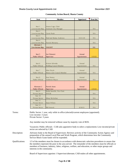| Seat                      | Member                        | <b>Appointed</b> | <b>Term End</b> |
|---------------------------|-------------------------------|------------------|-----------------|
|                           |                               |                  |                 |
|                           |                               |                  |                 |
| Seat 1                    | Jessaca Lugo, Chair           |                  |                 |
| Low-income Rep.           | <b>Assistant City Manager</b> |                  | N/A             |
| Seat 2                    |                               |                  |                 |
| Low-income Rep.<br>Seat 3 | Carrie Noah                   |                  | N/A             |
| Low-income Rep.           | Shah'ada Shaban Anderson      | 10/21/20         | N/A             |
| Seat 4                    |                               |                  |                 |
| Low-income Rep.           | Patrick Moriarty              |                  | N/A             |
| <b>Alternate 1</b>        |                               |                  |                 |
| Low-income Rep.           | <b>VACANT</b>                 |                  | N/A             |
|                           |                               |                  |                 |
|                           |                               |                  |                 |
| Seat 5                    | Joe Chimenti                  | Annual           |                 |
| <b>Public Official</b>    | Supervisor                    | Appointment      | 1/15/22         |
|                           |                               |                  |                 |
|                           |                               |                  |                 |
| Seat 6                    | Kristen Schreder              | Annual           |                 |
| Public Official           | Redding Council Member        | Appointment      | N/A             |
|                           |                               |                  |                 |
| Seat 7                    | Matt Doyle                    | Annual           |                 |
| <b>Public Official</b>    | Shasta Lake Council Member    | Appointment      | N/A             |
|                           |                               | Annual           |                 |
| Seat 8                    | Stan Neutze<br>Anderson Mayor | Appointment      | N/A             |
|                           |                               |                  |                 |
| Public Official           |                               |                  |                 |
|                           |                               |                  |                 |
| Alternate 2               | <b>Patrick Jones</b>          | Annual           |                 |
| <b>Public Official</b>    | Supervisor                    | Appointment      |                 |
| Seat 9                    | Bobbi Sawtelle, Vice Chair    |                  | 1/15/22         |
| Private Sector            | <b>NVCSS</b>                  |                  | N/A             |
| Seat 10                   |                               |                  |                 |
| Private Sector            | Missy McArthur                |                  | N/A             |
| Seat 11                   |                               |                  |                 |
| Private Sector            | Susan Wilson                  |                  | N/A             |
| Seat 12<br>Private Sector | <b>Bill Jostock</b>           | 8/18/21          | N/A             |

#### **Community Action Board, Shasta County**

Vacancies: Public officials - CAB asks appointive body to select a replacement; Low-income/private sector are selected by CAB

- Description: Advisory body to the Board of Supervisors: Reviews activity of the Community Action Agency and preparation of the annual Local Plan and Work Program, which determines how the Community Service Block Grant funds will be expended.
- Qualifications: 1/3 of the members must be chosen in accordance with democratic selection procedures to assure that the members represent the poor in the area served. The remainder of the members must be officials or members of business, industry, labor, religious, welfare, and education, or other major groups and interests in the community.

Board of Supervisors appoints 1 Supervisor/alternate; CAB makes all other appointments.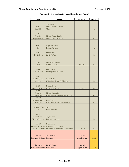| <b>Seat</b>           | Member                             | Appointed   | Term End |
|-----------------------|------------------------------------|-------------|----------|
|                       |                                    |             |          |
|                       | <b>Tracie Neal</b>                 |             |          |
| Seat 1<br>Chief PO    | <b>Chief Probation Officer</b>     |             |          |
|                       | Chair                              |             | N/A      |
| Seat 2                |                                    |             |          |
| Presiding             | Melissa Fowler-Bradley             |             |          |
| Judge/designee        | Court Executive Officer            |             | N/A      |
|                       |                                    |             |          |
|                       |                                    |             |          |
| Seat 3                | Stephanie Bridgett                 |             |          |
| <b>DA</b>             | District Attorney                  |             | N/A      |
|                       |                                    |             |          |
| Seat 4                | <b>Bill Bateman</b>                |             |          |
| Public Defender       | <b>Public Defender</b>             |             | N/A      |
|                       |                                    |             |          |
| Seat 5                | Michael L. Johnson                 |             |          |
| Sheriff               | Sheriff-Coroner                    | 8/15/21     | N/A      |
|                       |                                    |             |          |
| Seat 6                | <b>Bill Schueller</b>              |             |          |
| A Police Chief        | Redding Chief of Police            |             | N/A      |
|                       |                                    |             |          |
| Seat 7                |                                    |             |          |
| <b>Head of Social</b> | Nancy Bolen                        |             |          |
| Services              | HHSA Branch Dir.-Children's Srvcs. |             | N/A      |
| Seat 8                | <b>Donnell Ewert</b>               |             |          |
| Head of County MH     | Director of HHSA                   | 7/26/11     | N/A      |
| Seat 9                |                                    |             |          |
| Dept. of              | Melissa Janulewicz                 |             |          |
| Employment            | HHSA Branch Dir.-Regional Services |             | N/A      |
| Seat 10               |                                    |             |          |
| Substance Abuse       | Dean True                          |             |          |
| Programs              | HHSA Branch Dir.-Adult Services    |             | N/A      |
| Seat 11               |                                    |             |          |
| Head, Cty. Office     | <b>Judy Flores</b>                 |             |          |
| Edu.                  | Superintendent                     |             | N/A      |
| Seat 12               |                                    |             |          |
| Representative of     | Angela Jones                       |             |          |
| Victims Interests     | <b>Executive Director</b>          |             | N/A      |
|                       |                                    |             |          |
| Seat 13               | Eva Jimenez                        |             |          |
| Provider of . Rehab   | <b>Associate Vice President</b>    |             |          |
| Svcs. to Offenders    | Economic & Workforce Development   | 12/19/18    | N/A      |
|                       |                                    |             |          |
| Seat 14               | Joe Chimenti                       | Annual      |          |
| Supervisor/designee   | Supervisor                         | Appointment | 1/15/22  |
|                       |                                    |             |          |
|                       |                                    |             |          |
| Alternate 1           | <b>Patrick Jones</b>               | Annual      |          |
| Supervisor/designee   | Supervisor                         | Appointment | 1/15/22  |

# **Community Corrections Partnership (Advisory Board)**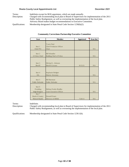#### **Shasta County Local Appointments List County County Local Appointments List December 2021**

Terms: Indefinite except for BOS appointees, which are made annually. Description: Charged with recommending local plan to Board of Supervisors for implementation of the 2011 Public Safety Realignment, as well as overseeing the implementation of the local plan. Advisory Board makes budget recommendations to Executive Committee. Qualifications: Membership designated in State Penal Code Section 1230(b)(2).

| <b>Seat</b>            | Member                         | <b>Appointed</b> | Term End |
|------------------------|--------------------------------|------------------|----------|
|                        |                                |                  |          |
|                        | <b>Tracie Neal</b>             |                  |          |
| Seat 1                 | <b>Chief Probation Officer</b> |                  |          |
| Chief PO               | Chair                          |                  | N/A      |
|                        |                                |                  |          |
| Seat 2                 | <b>Bill Schueller</b>          |                  |          |
| A Police Chief         | Redding Chief of Police        |                  | N/A      |
|                        |                                |                  |          |
|                        |                                |                  |          |
| Seat 3                 | Michael L. Johnson             |                  |          |
| Sheriff                | Sheriff-Coroner                | 8/15/21          | N/A      |
|                        |                                |                  |          |
| Seat 4                 |                                |                  |          |
| <b>DA</b>              | Stephanie Bridgett             |                  | N/A      |
|                        | District Attorney              |                  |          |
| Seat 5                 | <b>Bill Bateman</b>            |                  |          |
| <b>Public Defender</b> | <b>Public Defender</b>         |                  | N/A      |
|                        |                                |                  |          |
| Seat 6                 |                                |                  |          |
| Presiding              | Melissa Fowler-Bradley         |                  |          |
| Judge/designee         | Court Executive Officer        |                  | N/A      |
| Seat 7                 |                                |                  |          |
| Head of County         | Donnell Ewert                  |                  |          |
| Mental Health          | Director of HHSA               | 7/26/11          | N/A      |

### **Community Corrections Partnership Executive Committee**

Terms: Indefinite.

Description: Charged with recommending local plan to Board of Supervisors for implementation of the 2011 Public Safety Realignment, as well as overseeing the implementation of the local plan.

Qualifications: Membership designated in State Penal Code Section 1230.1(b).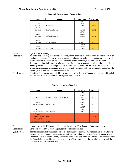#### **Shasta County Local Appointments List December 2021**

| <b>Seat</b> | Member              | Appointed | Term End |
|-------------|---------------------|-----------|----------|
|             |                     | 05/04/99  |          |
| Seat 1      |                     | 02/06/18  |          |
| District 1  | Jeff Avery          | 11/19/19  | 1/1/22   |
| Seat 2      |                     |           |          |
| District 2  | Eric Woodstrom      | 11/19/19  | 1/1/22   |
|             |                     | 01/07/14  |          |
| Seat 3      |                     | 02/06/18  |          |
| District 3  | Clifford D. Curry   | 11/19/19  | 1/1/22   |
|             |                     |           |          |
| Seat 4      |                     |           |          |
| District 4  | <b>Bobby Ranger</b> | 7/28/20   | 1/1/22   |
|             |                     | 06/04/13  |          |
| Seat 5      |                     | 02/06/18  |          |
| District 5  | Pat Corey           | 11/19/19  | 1/1/22   |

#### **Economic Development Corporation**

Terms: 2-year terms to January.

Description: Promotes and encourages balanced economic growth of Shasta County; utilizes study and survey of conditions in County relating to trade, commerce, industry, agriculture, and business of every kind and nature, prepared by industrial and economic consultants; sponsors, sanctions, and promotes development of desirable commercial and industrial enterprise, cooperates with, assists, and advises other organizations, public and private, to accomplish this; publicizes resources of County to investors; encourages, assists, and aids in location of businesses in County; promotes concerted effort toward general welfare and development of the county.

#### Qualifications: Appointed Directors are appointed by each member of the Board of Supervisors, each of which shall be a resident of a different one of the Supervisorial Districts.

| <b>Seat</b>            | Member                       | Appointed | Term End |
|------------------------|------------------------------|-----------|----------|
|                        |                              | 06/13/17  |          |
|                        |                              | 11/13/18  |          |
| Seat 1                 | Raymond "Ray" L. John, Ed.D. | 12/08/20  | 1/2/23   |
|                        |                              | 06/13/17  |          |
| Seat 2                 |                              | 11/13/18  |          |
| Law Enforcement        | Shawn Watts                  | 12/08/20  | 1/2/23   |
|                        |                              | 06/13/17  |          |
| Seat 3                 |                              | 11/13/18  |          |
| Law Enforcement        | Wes Reynolds                 | 12/08/20  | 1/2/23   |
| Alternate 1            |                              |           |          |
| <b>Law Enforcement</b> | <b>VACANT</b>                |           | 1/2/23   |
| Alternate 2            |                              |           |          |
| <b>Law Enforcement</b> | <b>VACANT</b>                |           | 1/2/23   |

#### **Employee Appeals, Board of**

Terms: 2-year terms to the 1<sup>st</sup> Monday of January following the 1<sup>st</sup> of January of odd-numbered years. Description: Considers appeals by County employees of personnel decisions.

Qualifications: Board is composed of three members of the community. The Board may appoint up to six alternate members in the community to serve on a rotational basis when regular members are unable to attend. Such members shall not be County employees or relatives of County employees. The composition of the Appeals Board shall include a representative of law enforcement during a hearing at which the appellant is a sworn peace officer.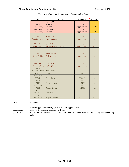| <b>Seat</b>       | Member                        | <b>Appointed</b> | Term End |
|-------------------|-------------------------------|------------------|----------|
|                   | Leonard Moty                  |                  |          |
| Seat 1            | Vice-Chair                    | Annual           |          |
| Shasta County     | Supervisor                    | Appointment      | 1/15/22  |
| Alternate 1       | Les Baugh                     | Annual           |          |
| Shasta County     | Supervisor                    | Appointment      | 1/15/22  |
|                   |                               |                  |          |
| Seat 2            | Melissa Hunt                  | Annual           |          |
| City of Anderson  | <b>Anderson Councilmember</b> | Appointment      | N/A      |
|                   |                               |                  |          |
| Alternate 2       | Stan Neutze                   | Annual           |          |
| City of Anderson  | Anderson Councilmember        | Appointment      | N/A      |
|                   |                               |                  |          |
|                   |                               |                  |          |
| Seat <sub>3</sub> | <b>Adam McElvain</b>          | Annual           |          |
| City of Redding   | <b>Redding Mayor</b>          | Appointment      | N/A      |
|                   |                               |                  |          |
| Alternate 3       | <b>Erin Resner</b>            | Annual           |          |
| City of Redding   |                               |                  | N/A      |
| Seat 4            | <b>Redding Mayor</b>          | Appointment      |          |
| Bella Vista Water | James Smith                   |                  |          |
| <b>District</b>   | Chair                         | 6/13/17          | N/A      |
| Alternate 4       |                               |                  |          |
| <b>BVWD</b>       | Robert Nash                   | 6/13/17          | N/A      |
| Seat 5            |                               | 06/13/17         |          |
| <b>ACID</b>       | Brenda Haynes                 | 02/20/19         | N/A      |
| Alternate 5       |                               | 06/13/17         |          |
| <b>ACID</b>       | Jeremy Kellogg                | 02/20/19         | N/A      |
| Seat 6            |                               |                  |          |
| Clear Crk CSD     | <b>Irwin Fust</b>             | 6/13/17          | N/A      |
| Alternate 6       |                               |                  |          |
| Clear Crk CSD     | Virginia Bassham              | 6/13/17          | N/A      |

#### **Enterprise-Anderson Groundwater Sustainability Agency**

Terms: Indefinite.

Description: Manages the Redding Groundwater Basin.

Qualifications: Each of the six signatory agencies appoints a Director and/or Alternate from among their governing body.

BOS are appointed annually per Chairman's Appointments.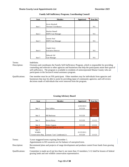| Seat   | Member                    | Appointed | <b>Term End</b> |
|--------|---------------------------|-----------|-----------------|
|        |                           |           |                 |
|        | Kevin Marshall            |           |                 |
| Seat 1 | Veterans' Coordinator     |           | N/A             |
|        |                           |           |                 |
|        | <b>Heather Russell</b>    |           |                 |
| Seat 2 | <b>HOPE Case Manager</b>  |           | N/A             |
|        |                           |           |                 |
|        | Jeannie Neal              |           |                 |
| Seat 3 | <b>HOPE Case Manager</b>  |           | N/A             |
|        |                           |           |                 |
|        |                           |           |                 |
|        | Angela Jones              |           |                 |
| Seat 4 | <b>Executive Director</b> |           | N/A             |
|        |                           |           |                 |
|        | Deborah Uhl               |           |                 |
| Seat 5 | Case Manager              |           | N/A             |

#### **Family Self-Sufficiency Program, Coordinating Council**

Terms: Indefinite.

Description: Oversees and coordinates the Family Self-Sufficiency Program, which is responsible for providing counseling and referrals to other agencies and businesses that help the participants attain their goal of self-sufficiency. The program is available to residents of unincorporated Shasta County who are participants in the Section 8 rental assistance program.

Qualifications: One member must be an FSS participant. Other members may be individuals from agencies and businesses that may be able to assist by providing input of community agencies; and will review decisions made of individuals that were removed from the program.

| <b>Seat</b>       | <b>Member</b>                 | Appointed  | <b>Term End</b> |
|-------------------|-------------------------------|------------|-----------------|
|                   |                               |            |                 |
|                   |                               | 12/03/2013 |                 |
| Seat 1            | Don Gallino                   | 9/15/20    | 12/1/21         |
|                   |                               |            |                 |
|                   |                               |            |                 |
| Seat 2            | <b>Bill Buckman</b>           | 9/15/20    | 12/1/21         |
|                   |                               |            |                 |
| Seat 3            | Steven Kerns                  | 9/15/20    | 12/1/22         |
|                   |                               |            |                 |
| Seat 4            | Robert Ingram                 | 9/15/20    | 12/1/22         |
| Seat 5            | VACANT prior to 1/1/18        |            | 12/1/23         |
| Seat 6            |                               |            |                 |
| Wildlife          |                               | 01/25/2011 |                 |
| Conservation Rep. | Lennart "Len" Lindstrand, Jr. | 9/15/20    | 12/1/23         |

### **Grazing Advisory Board**

Terms: 3-year staggered terms expiring December 1.

Appointments to fill vacancies are for balance of unexpired term.

Description: Recommend plans and projects of range development and predator control from funds from grazing leases.

Qualifications: Committee is made up of not less than 6, nor more than 13 members; 5-12 shall be lessees of federal grazing lands and one wildlife conservation representative.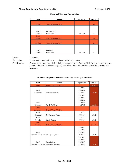#### **Shasta County Local Appointments List County Countries 2021**

| <b>Seat</b> | Member                | Appointed | Term End |
|-------------|-----------------------|-----------|----------|
| Seat 1      |                       |           |          |
| District 1  | VACANT as of $1/1/19$ |           | N/A      |
|             |                       |           |          |
|             |                       |           |          |
| Seat 2      | Leonard Moty          |           |          |
| District 2  | Supervisor            | 9/14/10   | N/A      |
| Seat 3      |                       |           |          |
| District 3  | VACANT as of $1/1/17$ |           | N/A      |
| Seat 4      |                       |           |          |
| District 4  | VACANT as of $1/1/17$ |           | N/A      |
|             |                       |           |          |
|             |                       |           |          |
| Seat 5      | Les Baugh             |           |          |
| District 5  | Supervisor            | 9/14/10   | N/A      |

#### **Historical Heritage Commission**

Terms: Indefinite.

Description: Fosters and promotes the preservation of historical records.

Qualifications: A historical records commission shall be composed of the County Clerk (or his/her designee), the County Librarian (or his/her designee), and two or three additional members for a total of five members.

#### **In-Home Supportive Services Authority Advisory Committee**

| <b>Seat</b>      | <b>Member</b>             | Appointed | Term End             |
|------------------|---------------------------|-----------|----------------------|
| Seat 1           | VACANT prior to 6/15/17   |           | 3/31/21              |
|                  |                           | 10/23/12  |                      |
| Seat 2           |                           | 03/04/14  |                      |
| Consumer         | Elizabeth Slosson         | 02/07/17  | 3/31/20              |
|                  |                           | 03/24/09  |                      |
|                  |                           | 10/23/12  |                      |
|                  |                           | 03/04/14  |                      |
| Seat 3           |                           | 03/24/15  |                      |
| Consumer         | Shyrle De Haven           | 02/07/17  | 3/31/20              |
| Seat 4           |                           |           |                      |
| <b>Consumer</b>  | VACANT as of 7/12/18      |           | 3/31/22              |
| Seat 5           |                           | 2/7/17    |                      |
| Consumer         | Joy Newcom-Wade           | 4/16/19   | 3/31/22              |
| Seat 6           |                           | 2/7/17    |                      |
| Provider         | Sharla Adkins             | 4/16/19   | 3/31/22              |
| Seat 7           |                           |           |                      |
| <b>Provider</b>  | VACANT as of 4/12/19      |           | 3/31/22              |
|                  |                           | 08/03/10  |                      |
|                  |                           | 03/12/13  |                      |
| Seat 8           |                           | 03/15/16  |                      |
| Community Leader | Wendy Longwell            | 4/16/19   | 3/31/22              |
|                  |                           | 03/24/09  |                      |
|                  |                           | 10/23/12  |                      |
| Seat 9           | Evan LeVang               | 03/24/15  |                      |
| Community Leader | <b>Executive Director</b> | 03/27/18  | $3/3\overline{1/21}$ |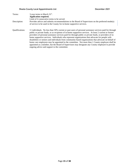# **Shasta County Local Appointments List Constant County 2021**

| Terms:                 | 3-year terms to March 31 <sup>st</sup> .                                                                                                                                                                          |
|------------------------|-------------------------------------------------------------------------------------------------------------------------------------------------------------------------------------------------------------------|
|                        | Application required.                                                                                                                                                                                             |
|                        | Limit of 4 consecutive terms to be served.                                                                                                                                                                        |
| Description:           | Provides advice and submits recommendations to the Board of Supervisors on the preferred mode(s)                                                                                                                  |
|                        | of service to be used in the County for in-home supportive services.                                                                                                                                              |
| <b>Oualifications:</b> | 11 individuals. No less than 50% current or past users of personal assistance services paid for through                                                                                                           |
|                        | public or private funds, or as recipients of in-home supportive services. At least 2 current or former<br>providers of personal assistance services paid for through public or private funds, or providers of in- |
|                        | home supportive services. Individuals who represent organizations that advocate for people with                                                                                                                   |
|                        | disabilities or seniors and individuals from community-based organizations that advocate on behalf of                                                                                                             |
|                        | home care employees may be appointed to the committee. Not more than 1 County employee shall be                                                                                                                   |
|                        | appointed as a member, but the Board of Supervisors may designate any County employee to provide                                                                                                                  |
|                        | ongoing advice and support to the committee.                                                                                                                                                                      |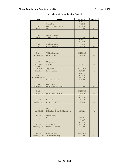| <b>Seat</b>               | Member                             | Appointed             | <b>Term End</b> |
|---------------------------|------------------------------------|-----------------------|-----------------|
|                           |                                    | 04/18/17              |                 |
|                           | <b>Tracie Neal</b>                 | 01/09/18              |                 |
| Seat 1                    | <b>Chief Probation Officer</b>     | 4/23/19               |                 |
| Chief PO                  | Chair                              | 12/8/20               | N/A             |
|                           |                                    |                       |                 |
| Seat 2                    | Michael Johnson                    |                       |                 |
| Sheriff                   | Sheriff-Coroner                    | 12/8/20               | N/A             |
|                           |                                    | 04/18/17              |                 |
|                           |                                    | 01/09/18              |                 |
| Seat 3                    | Stephanie Bridgett                 | 4/23/19               |                 |
| DA                        | District Attorney                  | 12/8/20               | N/A             |
|                           |                                    |                       |                 |
|                           |                                    |                       |                 |
| Seat 4<br>Public Defender | William Bateman<br>Public Defender | 04/23/2019<br>12/8/20 | N/A             |
|                           |                                    |                       |                 |
|                           |                                    |                       |                 |
| Seat 5                    | Mary Rickert                       |                       |                 |
| Supervisor                | Supervisor                         | 4/20/21               | N/A             |
| Seat 6                    |                                    |                       |                 |
| SC Office of              | <b>Judy Flores</b>                 | 01/09/2018            |                 |
| Education                 | Superintendent                     | 12/8/20               | $\rm N/A$       |
|                           |                                    | 04/18/17              |                 |
| Seat 7                    |                                    | 01/09/18              |                 |
| SC Juvenile Justice       |                                    | 4/23/19               |                 |
| Commission                | <b>Steve MacFarland</b>            | 12/8/20               | N/A             |
| Seat 8                    | <b>Bill Schueller</b>              |                       |                 |
| Redding PD                | Redding Chief of Police            | 12/8/20               | N/A             |
|                           |                                    |                       |                 |
| Seat 9                    |                                    | 04/23/2019            |                 |
| Anderson PD               | Lieutenant Steve Blunk             | 12/8/20               | N/A             |
|                           |                                    | 4/18/17               |                 |
|                           |                                    | 01/09/18              |                 |
| Seat $10$                 | Donnell Ewert                      | 4/23/19               |                 |
| Social Srvcs.             | Director of HHSA                   | 12/8/20               | N/A             |
|                           |                                    |                       |                 |
|                           |                                    |                       |                 |
| Seat 11                   | Miguel Rodriguez                   |                       | N/A             |
| Mental Health             | HHSA Branch Dir.-Children's Srvcs. | 11/2/21               |                 |
| Seat 12                   | <b>Michael Burke</b>               |                       |                 |
| Community Rep.            | <b>Executive Director</b>          | 11/2/21               | N/A             |
|                           |                                    | 4/18/17               |                 |
|                           |                                    | 01/09/18              |                 |
| Seat 13                   | Susan Wilson                       | 4/23/19               |                 |
| Community Rep.            | <b>Executive Director</b>          | 12/8/20               | N/A             |
|                           |                                    |                       |                 |
|                           |                                    |                       |                 |
| Seat 14                   | Daryl Kennedy                      | 04/23/2019            |                 |
| Community Rep.            | Juvenile Court Judge               | 12/8/20               | N/A             |

# **Juvenile Justice Coordinating Council**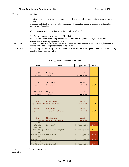| Terms:                 | Indefinite.                                                                                                                                              |
|------------------------|----------------------------------------------------------------------------------------------------------------------------------------------------------|
|                        | Termination of member may be recommended by Chairman to BOS upon motion/majority vote of<br>Council.                                                     |
|                        | If member fails to attend 3 consecutive meetings without authorization or alternate, will result in<br>termination of member.                            |
|                        | Members may resign at any time via written notice to Council.                                                                                            |
|                        | Chair's term is concurrent with term as Chief PO.                                                                                                        |
|                        | Each member serves indefinitely, concurrent with service to represented organization, until<br>membership is terminated or resignation.                  |
| Description:           | Council is responsible for developing a comprehensive, multi-agency juvenile justice plan aimed at<br>curbing crime and delinquency among at-risk youth. |
| <b>Oualifications:</b> | Membership determined by California Welfare & Institutions code; specific members determined by                                                          |
|                        | Board of Supervisors resolution.                                                                                                                         |

| <b>Seat</b>                              | <b>Member</b>                 | Appointed       | <b>Term End</b> |
|------------------------------------------|-------------------------------|-----------------|-----------------|
|                                          |                               |                 |                 |
|                                          |                               |                 |                 |
| Seat 1                                   | Les Baugh                     | Annual          |                 |
| Supervisor                               | Supervisor                    | Appointment     | 1/15/22         |
|                                          |                               |                 |                 |
|                                          |                               |                 |                 |
| Seat 2                                   | Joe Chimenti                  | Annual          |                 |
| Supervisor                               | Supervisor                    | Appointment     | 1/15/22         |
|                                          |                               |                 |                 |
| Alternate 1                              | <b>Mary Rickert</b>           | Annual          |                 |
| Supervisor                               | Supervisor                    | Appointment     | 1/15/22         |
|                                          |                               |                 |                 |
|                                          |                               |                 |                 |
| Seat <sub>3</sub>                        | Pamelyn Morgan                | Annual          |                 |
| City of Shasta Lake                      | Shasta Lake Mayor             | Appointment     | 1/15/22         |
|                                          |                               |                 |                 |
| Alternate 2                              | <b>Stan Neutze</b>            | Annual          |                 |
| City of Anderson                         | <b>Anderson Councilmember</b> | Appointment     | 1/15/22         |
|                                          |                               |                 |                 |
|                                          |                               |                 |                 |
| Seat 4                                   | Mark Mezzano                  | Annual          |                 |
| City of Redding                          | <b>Redding Council Member</b> | Appointment     | 1/15/22         |
| Seat 5                                   |                               |                 |                 |
| Public at Large                          | <b>Larry Russel</b>           | LAFCO Appointee | 1/1/21          |
| Alternate 3                              |                               |                 |                 |
| Public at Large<br>Seat 6                | Katharine Ann Campbell        | LAFCO Appointee | 1/1/22          |
| Special District Rep.                    | <b>Brenda Haynes</b>          |                 | 1/1/20          |
| Seat 7                                   |                               | LAFCO Appointee |                 |
| Special District Rep. Irwin Fust         |                               | LAFCO Appointee | 1/1/20          |
| Alternate 4                              |                               |                 |                 |
| Special District Rep. Patricia A. Clarke |                               | LAFCO Appointee | 1/1/21          |

# **Local Agency Formation Commission**

Terms: 4-year terms to January.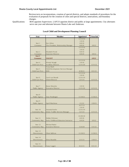#### **Shasta County Local Appointments List County Countries 2021**

Reviews/acts on incorporations, creation of special districts, and adopts standards of procedures for the evaluation of proposals for the creation of cities and special districts, annexations, and boundary changes.

Qualifications: BOS appoints Supervisors. LAFCO appoints district and public at large appointments. City alternates serve one year and alternate between Shasta Lake and Anderson.

| Seat                                   | Member                                 | <b>Appointed</b>   | <b>Term End</b> |
|----------------------------------------|----------------------------------------|--------------------|-----------------|
|                                        |                                        | 12/13/16           |                 |
|                                        |                                        | 1/9/18             |                 |
| Seat 1<br>Star Alfaro                  |                                        | 6/8/18             |                 |
| Consumer                               | Vice President, Relationship Manager   | 6/8/20             | 6/8/22          |
|                                        |                                        | 12/13/16           |                 |
|                                        |                                        | 1/9/18             |                 |
| Seat 2<br>Elizabeth Poole              |                                        | 6/8/18             |                 |
| Consumer                               | <b>Associate Director</b>              | 6/8/20             | 6/8/22          |
| Seat 3                                 |                                        |                    |                 |
| <b>Consumer</b><br><b>VACANT</b>       |                                        |                    | 6/8/22          |
| Seat 4<br>Wendy Waugh                  |                                        | 12/13/16<br>1/9/18 |                 |
| Child Care Prov.                       | <b>Academy Director</b>                | 12/31/20           | 12/31/22        |
| <b>Tessa Buell</b>                     |                                        |                    |                 |
| Seat 5                                 | Child Development Services Manager     |                    |                 |
| Child Care Prov.<br><b>EHS</b>         |                                        | 8/30/21            | 8/31/23         |
|                                        |                                        | 12/13/16           |                 |
|                                        |                                        | 1/9/18             |                 |
| Seat 6                                 | Carol von Brandt                       | 12/31/19           |                 |
| Child Care Prov.<br>Owner/Director     |                                        | 12/1/21            | 12/31/23        |
|                                        |                                        |                    |                 |
|                                        |                                        |                    |                 |
| Seat 7<br>Renee Menefee                |                                        | 1/9/18             |                 |
| Public Agency                          | <b>Executive Director</b>              | 12/31/20           | 12/31/22        |
|                                        |                                        |                    |                 |
|                                        |                                        |                    |                 |
| Seat 8                                 |                                        |                    |                 |
| Public Agency<br>Amy Pendergast        |                                        | 11/18/21           | 11/30/23        |
| Seat 9                                 |                                        |                    |                 |
| Public Agency<br><b>April Matthews</b> |                                        | 2/1/22             | 2/28/23         |
|                                        |                                        | 6/27/13            |                 |
|                                        |                                        | 1/9/18             |                 |
| Seat 10<br>Amanda Keefer               |                                        | 12/31/19           |                 |
| Community Rep.                         | <b>Infant Toddler Services Manager</b> | 12/1/21            | 12/31/23        |
|                                        |                                        |                    |                 |
|                                        |                                        | 01/09/18           |                 |
| Seat 11<br>Debbie Whitmer              |                                        | 6/9/18             |                 |
| Community Rep.                         | Early Childhood Education Instructor   | 6/9/20             | 6/9/22          |
|                                        |                                        |                    |                 |
| Seat 12<br>Michael Burke               |                                        |                    |                 |
| Community Rep.                         | <b>Executive Director</b>              | 5/24/20            | 5/31/22         |
| Seat 13                                |                                        |                    |                 |
| Discretionary<br>Chere Sullivan        |                                        |                    | 11/30/23        |
|                                        |                                        | 11/18/21           |                 |
| Seat 14                                |                                        |                    |                 |
| Discretionary<br>Elena Bramble         |                                        | 2/21/21            | 2/28/23         |
|                                        |                                        |                    |                 |
| Seat 15                                |                                        |                    |                 |
| Discretionary<br>Cassy Leggett         |                                        | 8/22/21            | 8/31/23         |

#### **Local Child and Development Planning Council**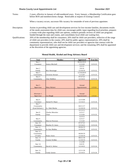# **Shasta County Local Appointments List County County Local Appointments List December 2021**

| Terms:          | 2 years, effective in January of odd-numbered years. Every January, a Membership Certification goes<br>before BOS and members/terms change. Renewable at request of existing Council.                                                                                                                                                                                                                                                                                  |
|-----------------|------------------------------------------------------------------------------------------------------------------------------------------------------------------------------------------------------------------------------------------------------------------------------------------------------------------------------------------------------------------------------------------------------------------------------------------------------------------------|
|                 | When a vacancy occurs, successor fills vacancy for remainder of term of previous appointee.                                                                                                                                                                                                                                                                                                                                                                            |
| Description:    | Assists in providing child care and development services for low-income families, documents results<br>of the needs assessment data for child care, encourages public input regarding local priorities, prepares<br>a county-wide plan regarding child care options, conducts periodic reviews of child care programs<br>funded through the state and county, and consolidates local child care waiting lists.                                                         |
| Qualifications: | 20% of the membership shall be consumers; 20% shall be child care providers, reflective of the range<br>of child care providers in the county; 20% shall be public agency representatives; 20% shall be<br>community representatives, who shall not be child care providers or agencies that contract with the<br>department to provide child care and development services; and the remaining 20% shall be appointed<br>at the discretion of the appointing agencies. |

| Seat          | Member            | <b>Appointed</b> | <b>Term End</b> |
|---------------|-------------------|------------------|-----------------|
| Seat 1        |                   | 06/04/2019       |                 |
| Consumer      | Jessica Mitchell  | 11/3/20          | 12/31/23        |
|               |                   | 2/5/13           |                 |
| Seat 2        |                   | 2/6/16           |                 |
| Family        | Ron Henninger     | 12/10/19         | 12/31/22        |
| Seat 3        |                   | 12/10/2019       |                 |
| Community     | Christine Stewart | 11/3/20          | 12/31/23        |
| Seat 4        |                   | 07/27/21         |                 |
| Community     | Alan Mullikin     | 12/14/21         | 12/31/24        |
|               |                   |                  |                 |
|               |                   |                  |                 |
| Seat 5        |                   | Annual           |                 |
| Supervisor    | Mary Rickert      | Appointment      | 1/15/22         |
|               |                   |                  |                 |
|               |                   |                  |                 |
| Alternate 1   |                   | Annual           |                 |
| Supervisor    | Les Baugh         | Appointment      | 1/15/22         |
| Seat 6        |                   | 12/15/09         |                 |
| Consumer      |                   |                  |                 |
| Seat 7        | Samuel R. Major   | 12/14/21         | 12/31/24        |
| Community     |                   | 04/11/17         |                 |
| (Law Enfcmt.) | Lt. Dale Marlar   | 12/10/19         | 12/31/22        |
|               |                   | 12/13/11         |                 |
| Seat 8        | Charles Menoher   | 12/5/17          |                 |
| Family        | Chair             | 11/3/20          | 12/31/23        |
|               |                   | 12/3/13          |                 |
| Seat 9        |                   | 12/5/17          |                 |
| Community     | Marvin Peterson   | 11/3/20          | 12/31/23        |
| Seat 10       |                   | 07/27/21         |                 |
| Consumer      | Heather D. Jones  | 12/14/21         | 12/31/24        |
| Seat 11       |                   | 06/04/19         |                 |
| Community     | Jo-Ann Medina     | 12/10/19         | 12/31/22        |
| Seat 12       |                   |                  |                 |
| Community     |                   | 06/04/19         |                 |
| (Youth)       | Kalyn Jones       | 12/10/19         | 12/31/22        |
| Seat 13       |                   | 08/21/18         |                 |
| Family        | Connie Webber     | 12/10/19         | 12/31/22        |
|               |                   | 1/12/99          |                 |
| Seat 14       |                   | 6/4/19           |                 |
| Community     | David A. Kehoe    | 12/14/21         | 12/31/24        |
|               |                   |                  |                 |
| Seat 15       |                   | 12/11/18         |                 |
| Family        | Cindy Greene      | 12/14/21         | 12/31/24        |

# **Mental Health, Alcohol and Drug Advisory Board**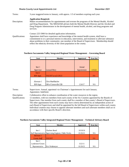#### **Shasta County Local Appointments List December 2021**

| Terms:                 | 3-year staggered terms to January, with approx. 1/3 of members expiring each year.                                                                                                                                                                                                                                                                                           |
|------------------------|------------------------------------------------------------------------------------------------------------------------------------------------------------------------------------------------------------------------------------------------------------------------------------------------------------------------------------------------------------------------------|
|                        | <b>Application Required.</b>                                                                                                                                                                                                                                                                                                                                                 |
| Description:           | Makes recommendations for appointments and oversee the programs of the Mental Health, Alcohol<br>and Drug Department. The MHADAB advises both the Mental Health Director and the Alcohol and<br>Drug Program Administrator in the development of mental health, alcohol, and drug programs and<br>services.                                                                  |
|                        | Contact 225-5900 for detailed application information.                                                                                                                                                                                                                                                                                                                       |
| <b>Oualifications:</b> | Appointees shall have experience and knowledge of the mental health system, shall have a<br>commitment to or a personal interest in education, intervention, and treatment to alleviate substance<br>abuse problems in their community; one member of the Board of Supervisors. Membership should<br>reflect the ethnicity diversity of the client population in the county. |

#### **Northern Sacramento Valley Integrated Regional Water Management – Governing Board**

| <b>Seat</b>      | Member                | Appointed   | <b>Term End</b> |
|------------------|-----------------------|-------------|-----------------|
|                  |                       |             |                 |
|                  |                       |             |                 |
| Seat 1           |                       | Annual      |                 |
| Supervisor       | Leonard Moty          | Appointment | 1/15/22         |
| Seat 2           |                       |             |                 |
| <b>BOS</b> Appt. | VACANT as of 1/20/21  |             | N/A             |
|                  |                       |             |                 |
| Alternate 1      | Chris Muehlbacher     |             |                 |
| BOS Appt.        | GM of Centerville CSD | 1/24/17     | N/A             |

Terms: Supervisors: Annual, appointed via Chairman's Appointments list each January. Appointees: Indefinite

Description: Collaborative effort to enhance coordination of the water resources in the region.

Qualifications: 12 members, with two members from each county of the Six Counties appointed by the Boards of Supervisors. One member from each county shall be a member of that county's Board of Supervisors. The other appointment from each county may have criteria determined by an independent action of each Board of Supervisors and shall be appointed by the full Board of Supervisors within each county. Individual counties may choose to appoint alternate members and such alternate members shall act in accordance with their specific Board's direction.

| <b>Seat</b>         | Member                                                  | Appointed | <b>Term End</b> |
|---------------------|---------------------------------------------------------|-----------|-----------------|
|                     |                                                         |           |                 |
| Seat 1              | Charleen Beard                                          | 10/18/16  |                 |
|                     | Staff Representative Supervising Engineer, Public Works | 01/26/21  | N/A             |
| Alternate 1         |                                                         |           |                 |
| <b>County Staff</b> | <i><b>VACANT</b></i>                                    |           | N/A             |
| Seat 2              |                                                         |           |                 |
| Landowner/Citizen   |                                                         | 3/22/11   |                 |
| Representative      | Eric Wedemeyer                                          | 01/26/21  | N/A             |

#### **Northern Sacramento Valley Integrated Regional Water Management – Technical Advisory Board**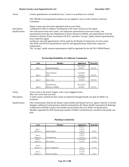| Terms:          | County appointments reconsidered every 2 years or as positions are vacated.                                                                                                                                                                                                                                              |
|-----------------|--------------------------------------------------------------------------------------------------------------------------------------------------------------------------------------------------------------------------------------------------------------------------------------------------------------------------|
|                 | NSV IRWM Governing Board members are not eligible to serve on the Technical Advisory<br>Committee.                                                                                                                                                                                                                       |
|                 | Shasta County reps have been appointed with no term limits.                                                                                                                                                                                                                                                              |
| Description:    | Collaborative effort to enhance coordination of the water resources in the region.                                                                                                                                                                                                                                       |
| Qualifications: | One staff person from each county, one landowner representative from each county, one<br>representative from the state Department of Water Resources (DWR), one representative from the<br>Northern California Water Association (NCWA), and three "at-large" public interest representatives<br>from within the region. |
|                 | Landowner and staff appointments will be made by the Boards of Supervisors of each county.                                                                                                                                                                                                                               |
|                 | The DWR and NCWA representatives shall be self-appointed from within their respective                                                                                                                                                                                                                                    |
|                 | organization.                                                                                                                                                                                                                                                                                                            |

The "at-large" public interest representatives shall be appointed by the full NSV IRWM Board.

| <b>Seat</b> | <b>Member</b>    | Appointed  | Term End |
|-------------|------------------|------------|----------|
|             |                  | 06/13/2017 |          |
| Seat 1      | Randall Hempling | 8/10/21    | 8/31/25  |
|             |                  |            |          |
|             | Dean Germano     | 6/13/2017  |          |
| Seat 2      | <b>CEO</b>       | 6/25/19    | 8/31/23  |
|             |                  | 8/13/2013  |          |
| Seat 3      | Dave Jones       | 6/25/19    | 8/31/23  |
|             |                  |            |          |
|             | Donnell Ewert    | 06/13/2017 |          |
| Seat 4      | Director of HHSA | 8/10/21    | 8/31/25  |

#### **Partnership HealthPlan of California Commission**

Terms: 4-year terms to the end of August, with 2-year staggered terms.

May serve more than one term.

Description: A multi-county commission that creates an improved managed health care plan for Medi-Cal recipients.

Qualifications: One Commissioner shall be the Shasta County Health and Human Services Agency Director or his/her designee; additional Commissioners shall be nominated by the Shasta Health Assessment & Redesign Collaborative (SHARC) and/or local health care providers that serve Medi-Cal beneficiaries. Members appointed by BOS based upon number of Medi-Cal beneficiaries enrolled in the health care plan.

#### **Planning Commission**

| <b>Seat</b> | Member             | Appointed  | <b>Term End</b> |
|-------------|--------------------|------------|-----------------|
|             |                    | 11/1/11    |                 |
| Seat 1      |                    | 1/13/15    |                 |
| District 1  | James Chapin       | 1/8/19     | 1/9/23          |
|             |                    | 7/28/15    |                 |
| Seat 2      |                    | 1/10/17    |                 |
| District 2  | Tim MacLean        | 1/12/21    | 1/13/25         |
| Seat 3      |                    | 01/24/2017 |                 |
| District 3  | <b>Steve Kerns</b> | 1/12/21    | 1/13/25         |
|             |                    |            |                 |
| Seat 4      |                    |            |                 |
| District 4  | Donn Walgamuth     | 2/2/21     | 1/13/25         |
|             |                    | 11/5/13    |                 |
| Seat 5      |                    | 1/13/15    |                 |
| District 5  | Patrick Wallner    | 1/8/19     | 1/9/23          |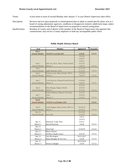Terms: 4-year terms to noon of second Monday after January 1<sup>st</sup> in year District Supervisor takes office.

Description: Reviews and acts upon proposals to amend general plan or adopt or amend specific plans; acts as a board of zoning adjustment; approves, conditions or disapproves tentative subdivision maps; makes recommendations to the Board of Supervisors on proposals to amend zoning plans.

Qualifications: Resident of County and of district of the member of the Board of Supervisors who appoints that commissioner; may not be a County employee or hold any incompatible public office.

| <b>Seat</b>           | Member                               | <b>Appointed</b> | <b>Term End</b> |
|-----------------------|--------------------------------------|------------------|-----------------|
| Seat 1                |                                      |                  |                 |
| <b>General Member</b> | VACANT as of July 2021               | 3/24/20          | 3/31/23         |
|                       |                                      | 3/23/04          |                 |
|                       |                                      | 3/20/07          |                 |
|                       |                                      | 3/26/13          |                 |
| Seat 2                | John Coe, M.D., Mercy Family Health  | 4/12/16          |                 |
| General Member        | District 1                           | 3/26/19          | 3/31/22         |
| Seat 3                |                                      | 12/11/18         |                 |
| General Member        | Judith Menoher, Ed.D.                | 12/14/21         | 3/31/24         |
| Seat 4                | Kristen Lyons, Shasta Family YMCA    | 1/9/2018         |                 |
| <b>General Member</b> | District 1                           | 3/26/19          | 3/31/22         |
|                       |                                      |                  |                 |
| Seat 5                | Toni Donovan, Planned Prnthd NorCal  | 1/9/2018         |                 |
| General Member        | District 4                           | 3/26/19          | 3/31/22         |
|                       |                                      | 4/12/16          |                 |
| Seat 6                | Mike Mangas, Dignity Health          | 4/10/18          |                 |
| General Member        | District 1                           | 12/14/21         | 3/31/24         |
|                       | Kristie Stephens, Simpson University | 4/12/16          |                 |
| Seat 7                | Chair                                | 4/10/18          |                 |
| <b>General Member</b> | District 3                           | 12/14/21         | 3/31/24         |
| Seat 8                |                                      |                  |                 |
| <b>General Member</b> | VACANT as of October 2021            |                  | 3/31/23         |
|                       |                                      |                  |                 |
| Seat 9                | Laura Dougan, Shasta Comm. Hlth Ctr. | 04/10/18         |                 |
| General Member        | District 1                           | 12/14/21         | 3/31/24         |
| Seat 10               |                                      | 03/24/20         |                 |
| General Member        | Kay Kobe                             | 12/14/21         | 3/31/24         |
|                       |                                      | 1/4/11           |                 |
|                       |                                      | 12/3/13          |                 |
| Seat 11               | Richard D. Yoder, M.D.               | 5/16/17          |                 |
| District 1            | Retired Physician                    | 2/4/20           | 3/31/23         |
| Seat 12               |                                      |                  |                 |
| District 2            | Elena Paul                           | 12/10/19         | 3/31/22         |
| Seat 13               | Sharon Hanson                        |                  |                 |
| District 3            | Fall River Health Center             | 4/23/19          | 3/31/22         |
| Seat 14               | Ann Morningstar                      | 03/21/2017       |                 |
| District 4            | Shasta Mosquito & Vetr Ctrl.         | 2/4/20           | 3/31/23         |
| Seat 15               |                                      | 04/23/2019       |                 |
| District 5            | DeAnna Gallagher                     | 2/4/20           | 3/31/23         |

#### **Public Health Advisory Board**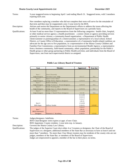#### **Shasta County Local Appointments List County County Local Appointments List December 2021**

| Terms:          | 3-year staggered terms to beginning April 1 and ending March 31. Staggered terms, with 5 members<br>expiring each year.                                                                                                                                                                                                                                                                                                                                                                                                                                                                                                                                                                                                                                                                                                                                                                                                                                                                                                    |
|-----------------|----------------------------------------------------------------------------------------------------------------------------------------------------------------------------------------------------------------------------------------------------------------------------------------------------------------------------------------------------------------------------------------------------------------------------------------------------------------------------------------------------------------------------------------------------------------------------------------------------------------------------------------------------------------------------------------------------------------------------------------------------------------------------------------------------------------------------------------------------------------------------------------------------------------------------------------------------------------------------------------------------------------------------|
|                 | New members replacing a member who did not complete their term will serve for the remainder of<br>that term and then may be reappointed a new 3-year term by the BOS.                                                                                                                                                                                                                                                                                                                                                                                                                                                                                                                                                                                                                                                                                                                                                                                                                                                      |
| Description:    | Advises and assists the Department on the Department's efforts to address the issues affecting the<br>health of the community, and reports to the Board of Supervisors on a periodic basis.                                                                                                                                                                                                                                                                                                                                                                                                                                                                                                                                                                                                                                                                                                                                                                                                                                |
| Qualifications: | At least 9 and no more than 15 representatives from the following categories: health clinic, hospital,<br>or other medical service agency; a health practitioner; a senior citizen or agency providing services<br>primarily to senior citizens; a community-based organization; a Department of Public Health<br>client/customer or parent/guardian of a client/customer; a representative of a local school, School<br>District, or County Office of Education; a representative of a Community health-related coalition; an<br>advocate for the age zero to five population, or a representative of the Shasta County Children and<br>Families First Commission; a representative from an environmental Health Agency; a representative<br>from a business community, faith-based community, ethnic population, partnership for the Public's<br>Health group or other group partnering in Public Health activities; and individuals from the Board of<br>Supervisors, one from each supervisorial district as assigned. |

| Seat                  | Member                           | Appointed | Term End |
|-----------------------|----------------------------------|-----------|----------|
|                       |                                  |           |          |
|                       |                                  |           |          |
| Seat 1                | Daryl Kennedy                    |           |          |
| Judge/designee        | Juvenile Court Judge             | 8/1/17    | N/A      |
| Seat 2                | Susan Cresto Baker               |           |          |
| Judge/designee        | (Judge Molly Bigelow designee)   | 12/8/16   | N/A      |
| Seat 3                | Robert Harding                   |           |          |
| Judge/designee        | (Judge Tamara L. Wood designee)  | 12/8/16   | N/A      |
| Seat 4                | Karen Keating Jahr               |           |          |
| Judge/designee        | (Judge Gary G. Gibson designee)  | 12/8/16   | N/A      |
| Seat 5                | Kerry Conforti                   |           |          |
| Judge/designee        | (Judge J. Daniel Flynn designee) | 3/1/18    | N/A      |
|                       |                                  | 9/15/09   |          |
|                       |                                  | 3/24/15   |          |
|                       |                                  | 7/25/17   |          |
|                       |                                  | 1/8/19    |          |
| Seat 6                |                                  | 1/14/20   |          |
| BOS Appt.             | Jeffrey Gorder                   | 1/26/21   | 1/15/22  |
|                       |                                  | 7/25/17   |          |
| Seat 7                |                                  | 1/8/19    |          |
| <b>BOS Chairman's</b> |                                  | 1/14/20   |          |
| Designee              | Nannette J. Stomberg             | 1/26/21   | 1/15/22  |

#### **Public Law Library Board of Trustees**

Terms: Judges/designees: Indefinite.

BOS Chair/designee: term expires at appt. of new Chair.

BOS Appointee: County resident, 1-year term exp. in January.

Description: Governs the Shasta County Law Library.

Qualifications: The judges of the Superior Court elect either 4 or 5 trustees or designees; the Chair of the Board of Supervisors or a designee; additional members of the State Bar as necessary to have at least 6 and not more than 7 members. No more than 2 law library trustees may be residents of the county who are not judges, members of the State Bar, or members of the Board of Supervisors. Judges are empowered to appoint a member of the bar in their place; no terms.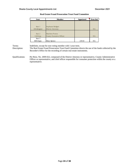| <b>Seat</b> | Member                   | Appointed | Term End |
|-------------|--------------------------|-----------|----------|
|             |                          |           |          |
|             |                          |           |          |
| Seat 1      | Stephanie Bridgett       |           |          |
| DA/designee | District Attorney        |           | N/A      |
|             |                          |           |          |
| Seat 2      | <b>Matthew Pontes</b>    |           |          |
| $CAO$ /rep. | County Executive Officer |           | N/A      |
| Seat 3      |                          |           |          |
| BOS Appt.   | Mary Spence              | 2/9/10    | N/A      |

#### **Real Estate Fraud Prosecution Trust Fund Committee**

Terms: Indefinite, except for non-voting member with 1-year term.

Description: The Real Estate Fraud Prosecution Trust Fund Committee directs the use of the funds collected by the Recorder's Office for the recording of certain real estate instruments.

Qualifications: Per Reso. No. 2009-022, composed of the District Attorney or representative, County Administrative Officer or representative, and chief officer responsible for consumer protection within the county or a representative.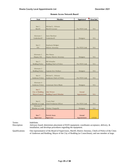| Seat                           | Member                                | Appointed    | <b>Term End</b> |
|--------------------------------|---------------------------------------|--------------|-----------------|
|                                |                                       |              |                 |
|                                |                                       |              |                 |
| Seat 1<br>Sheriff              | Michael L. Johnson<br>Sheriff-Coroner | Per PEN Code | N/A             |
|                                |                                       |              |                 |
|                                |                                       |              |                 |
| Alternate 1                    | Jason Barnhart                        |              |                 |
| Undersheriff                   | Undersheriff                          | Designee     | N/A             |
|                                |                                       |              |                 |
| Seat 2                         | Stephanie Bridgett                    |              |                 |
| DA                             | District Attorney                     | Per PEN Code | N/A             |
|                                |                                       |              |                 |
|                                |                                       |              |                 |
| Alternate 2                    | Ben Hanna                             |              |                 |
| Deputy DA                      | Deputy District Attorney              | Designee     | N/A             |
| Seat <sub>3</sub>              | <b>Bill Schueller</b>                 |              |                 |
| <b>Redding Police</b>          | Redding Chief of Police               | Per PEN Code | N/A             |
|                                |                                       |              |                 |
| Alternate 3                    |                                       |              |                 |
| <b>Redding Police</b>          | Captain Eric Wallace                  | Designee     | N/A             |
| Seat 4                         | Michael L. Johnson                    |              |                 |
| <b>Anderson Police</b>         | <b>Anderson Chief of Police</b>       | Per PEN Code | N/A             |
|                                |                                       |              |                 |
| Alternate 4                    |                                       |              |                 |
| <b>Anderson Police</b>         | Lieutenant Steve Blunk                | Designee     | N/A             |
| Seat 5                         |                                       |              |                 |
| City of Redding                | Julie Winter                          | Annual       |                 |
| Mayor/Council                  | <b>Redding Council Member</b>         | Appointment  | N/A             |
|                                |                                       |              |                 |
|                                |                                       |              |                 |
| Seat 6                         | <b>Tracie Neal</b>                    |              |                 |
| Member at Large<br>Alternate 5 | <b>Chief Probation Officer</b>        | Per PEN Code | N/A             |
| Member at Large                | Chelsey Chappelle                     | Designee     | N/A             |
|                                |                                       |              |                 |
|                                |                                       |              |                 |
| Seat 7                         | <b>Patrick Jones</b>                  | Annual       |                 |
| Supervisor                     | Supervisor                            | Appointment  | 1/15/22         |

#### **Remote Access Network Board**

Terms: Indefinite.

Description: Advisory board; determines placement of RAN equipment; coordinates acceptance, delivery, & installation; and develops procedures regarding the equipment.

Qualifications: One representative of the Board of Supervisors, Sheriff, District Attorney, Chiefs of Police of the Cities of Anderson and Redding, Mayor of the City of Redding (or Councilman), and one member at large.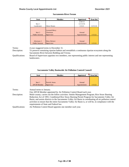#### **Shasta County Local Appointments List December 2021**

| <b>Seat</b>            | <b>Member</b> | Appointed   | Term End |
|------------------------|---------------|-------------|----------|
|                        |               | 2/26/13     |          |
| Seat 1                 |               | 12/13/16    |          |
| Landowner              | Glenn Hawes   | 1/5/21      | 12/31/24 |
|                        |               |             |          |
|                        | Leonard Moty  |             |          |
| Seat 2                 | Chairman      | Annual      |          |
| <b>Public Interest</b> | Supervisor    | Appointment | 1/15/22  |
|                        |               |             |          |
|                        |               |             |          |
| Alternate 1            | Mary Rickert  | Annual      |          |
| <b>Public Interest</b> | Supervisor    | Appointment | 1/15/22  |

#### **Sacramento River Forum**

Terms: 4-year staggered terms to December 31.

Description: To preserve remaining riparian habitat and reestablish a continuous riparian ecosystem along the Sacramento River between Redding and Verona.

Qualifications: Board of Supervisors appoints two members, one representing public interest and one representing landowners.

#### **Sacramento Valley Basinwide Air Pollution Control Council**

| Seat               | Member               | Appointed   | Term End |
|--------------------|----------------------|-------------|----------|
|                    |                      |             |          |
|                    |                      |             |          |
| Seat 1             | <b>Patrick Jones</b> | Annual      |          |
| <b>APCB</b> Member | Supervisor           | Appointment | 1/15/22  |

Terms: Annual terms to January.

One APCB Member appointed by Air Pollution Control Board each year.

Description: Multi-county; carries out the follow activities: Smoke Management Program; Rice Straw Burning Reduction Act of 1991; Conditional Rice Straw Burning Permit Program for Sacramento Valley Air Basin; and assists districts in the Sacramento Valley Air Basin in coordinating all air pollution control activities to ensure that the entire Sacramento Valley Air Basin is, or will be, in compliance with the requirements of State and Federal law.

Qualifications: Air Pollution Control Board appoints one member each year.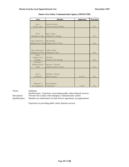| <b>Seat</b>        | <b>Member</b>                                | Appointed | <b>Term End</b> |
|--------------------|----------------------------------------------|-----------|-----------------|
|                    |                                              |           |                 |
| Seat 1             | <b>Matthew Pontes</b>                        |           |                 |
| County CEO         | County Executive Officer                     |           | N/A             |
|                    |                                              |           |                 |
|                    |                                              |           |                 |
| Seat 2             | <b>Barry Tippin</b>                          |           |                 |
| Redding City Mgr   | Redding City Manager                         |           | N/A             |
|                    |                                              |           |                 |
| Seat 3/Alternate 1 | <b>Bill Schueller</b>                        |           |                 |
|                    | Redding Police Chief Redding Chief of Police |           | N/A             |
|                    |                                              |           |                 |
|                    |                                              |           |                 |
| Seat 3/Alternate 1 | Cullen Kreider                               |           |                 |
| Redding Fire Chief | Redding Fire Chief                           |           | N/A             |
| Seat 4             |                                              |           |                 |
| Anderson City      | <b>Jeff Kiser</b>                            |           |                 |
| Manager            | Anderson City Manager                        |           | N/A             |
| Alternate 2        |                                              |           |                 |
| Anderson Police    | Michael L. Johnson                           |           |                 |
| Chief              | Anderson Chief of Police                     |           | N/A             |
|                    |                                              |           |                 |
|                    |                                              |           |                 |
| Seat 5             | Michael L. Johnson                           |           |                 |
| SC Sheriff         | Sheriff-Coroner                              | 8/15/21   | N/A             |
|                    |                                              |           |                 |
|                    |                                              |           |                 |
| Alternate 3        | <b>Jason Barnhart</b>                        |           |                 |
| SC Undersheriff    | Undersheriff                                 | 1/2/20    | N/A             |

#### **Shasta Area Safety Communication Agency (SHASCOM)**

Terms: Indefinite.

Qualifications: Experience in providing public safety dispatch services. Description: Oversees the County-wide emergency communication system. Qualifications: Members are determined via Joint Powers Agreement, not appointment.

Experience in providing public safety dispatch services.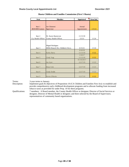| <b>Seat</b>            | <b>Member</b>                      | Appointed   | Term End |
|------------------------|------------------------------------|-------------|----------|
|                        |                                    |             |          |
|                        |                                    |             |          |
| Seat 1                 | Joe Chimenti                       | Annual      |          |
| <b>BOS HHS Liaison</b> | Supervisor                         | Appointment | 1/15/22  |
|                        |                                    |             |          |
|                        |                                    |             |          |
| Seat 2                 | Dr. Karen Ramstrom                 | 11/13/18    |          |
| Cty Health Officer     | County Health Officer              | 2/2/21      | 1/1/24   |
|                        |                                    |             |          |
|                        |                                    |             |          |
|                        | Miguel Rodriguez                   |             |          |
| Seat 3                 | HHSA Branch Dir.-Children's Srvcs. | 6/15/21     | 1/1/24   |
|                        |                                    | 9/18/18     |          |
| Seat 4                 | Kathy Barry                        | 11/13/18    | 1/1/22   |
|                        |                                    | 1/10/17     |          |
| Seat 5                 | Cindy Vogt                         | 11/13/18    | 1/1/22   |
|                        |                                    | 01/10/2017  |          |
| Seat 6                 | Joe Ayer                           | 12/17/19    | 1/1/23   |
|                        |                                    |             |          |
| Seat 7                 | <b>Brian Cole</b>                  | 12/17/19    | 1/1/23   |
|                        |                                    |             |          |
| Seat 8                 | <b>Cindy Dodds</b>                 | 12/17/19    | 1/1/23   |
|                        |                                    |             |          |
| Seat 9                 | Kevin O'Rorke                      | 12/17/19    | 1/1/22   |

#### **Shasta Children and Families Commission (First 5 Shasta)**

Terms: 3-year terms to January.

Description: Implement goals & objectives of Proposition 10 (CA Children and Families First Act): to establish and provide comprehensive early childhood development programs and to allocate funding from increased tobacco taxes as provided for under Prop. 10 for these programs.

Qualifications: 7 members: A Board member, the County Health Officer or designee; Director of Social Services or designee, Director of Mental Health or designee; and three selected by the Board of Supervisors; representatives of community based organizations.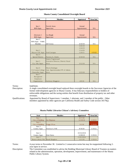| <b>Seat</b>                | <b>Member</b>                              | Appointed   | <b>Term End</b> |
|----------------------------|--------------------------------------------|-------------|-----------------|
|                            |                                            |             |                 |
|                            |                                            |             |                 |
| Seat 1                     | <b>Patrick Jones</b>                       | Annual      |                 |
| <b>BOS</b> Appt.           | Supervisor                                 | Appointment | N/A             |
|                            |                                            |             |                 |
| Alternate 1                | Les Baugh                                  | Annual      |                 |
|                            | Supervisor                                 |             | N/A             |
| <b>BOS</b> Appt.<br>Seat 2 |                                            | Appointment |                 |
| BOS Appt. - Public         |                                            |             |                 |
| Member                     | Jeff Avery                                 | 4/10/18     | N/A             |
|                            |                                            | 3/26/18     |                 |
|                            |                                            | 1/24/19     |                 |
| Seat 3                     |                                            | 1/14/20     |                 |
| Mayors CSC Appt            | Fred Castagna                              | 1/20/21     | 1/15/22         |
| Seat 4                     |                                            |             |                 |
| <b>Special District</b>    | Patricia A. Clarke                         | 6/18/18     | N/A             |
|                            | Jessica Tegerstrand                        |             |                 |
| Seat 5                     | <b>Executive Director, District Fiscal</b> |             |                 |
| Cty. Edu. Super.           | <b>Srvcs</b>                               | 3/12/18     | N/A             |
|                            |                                            |             |                 |
| Seat 6                     | Morris Rodrigue                            |             |                 |
| CA Comm.College            | Asst. Superintendent/VP of Admin.          |             |                 |
| Chancellor Appt.           | <b>Srvcs</b>                               | 2/23/18     | N/A             |
| Seat 7                     |                                            |             |                 |
| Recognized                 |                                            |             |                 |
| Employee                   |                                            |             |                 |
| Organization               | <b>Anthony Maggiore</b>                    | 4/9/18      | N/A             |

#### **Shasta County Consolidated Oversight Board**

Terms: Indefinite. Description: A single consolidated oversight board replaced three oversight boards to the Successor Agencies of the former redevelopment agencies in Shasta County. It has fiduciary responsibilities to holders of enforceable obligations and the taxing entities that benefit from distribution of property tax and other revenues. Qualifications: Appointed by Board of Supervisors: 1 member, 1 alternate, and 1 member of the public. Other members appointed by other agencies per California Health and Safety Code section 34179(j).

| <b>Seat</b>        | Member            | Appointed  | Term End |
|--------------------|-------------------|------------|----------|
| Seat 1             |                   | 4/17/18    |          |
| City of Redding    | Joe Shipman       | 12/18/18   | 11/30/22 |
| Seat 2             |                   |            |          |
| City of Redding    | Peggy O'Lea       | 3/1/18     | 11/30/20 |
| Seat 3             |                   |            |          |
| County Appt.       | Patricia A. Pell  | 8/18/20    | 11/30/22 |
|                    |                   |            |          |
| Seat 4             |                   | 10/16/2018 |          |
| County Appt.       | <b>Kim Faires</b> | 12/08/20   | 11/30/24 |
| Seat 5             |                   | 11/01/2016 |          |
| Shasta Library Fdn | Randi Slaughter   | 12/1/20    | 11/30/24 |

#### **Shasta Public Libraries Citizen's Advisory Committee**

Terms: 4-year terms to November 30. Limited to 2 consecutive terms but may be reappointed following 2 year lapse in service.

Description: The Committee was established to advise the Redding Municipal Library Board of Trustees on matters related to the administration, operation, development, improvement, and maintenance of the Shasta Public Library System.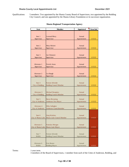#### **Shasta County Local Appointments List County Countries 2021**

Qualifications: 5 members: Two appointed by the Shasta County Board of Supervisors, two appointed by the Redding City Council, and one appointed by the Shasta Library Foundation or its successor organization.

| Seat                            | Member                                                   | <b>Appointed</b>      | <b>Term End</b> |
|---------------------------------|----------------------------------------------------------|-----------------------|-----------------|
|                                 |                                                          |                       |                 |
| Seat 1                          | <b>Leonard Moty</b>                                      | Annual                |                 |
| Supervisor                      | Supervisor                                               | Appointment           | 1/15/22         |
|                                 |                                                          |                       |                 |
| Seat 2                          | Mary Rickert                                             | Annual                |                 |
| Supervisor                      | Supervisor                                               | Appointment           | 1/15/22         |
|                                 |                                                          |                       |                 |
| Seat 3                          | Joe Chimenti                                             | Annual                |                 |
| Supervisor                      | Supervisor                                               | Appointment           | 1/15/22         |
|                                 |                                                          |                       |                 |
| Alternate 1                     | <b>Patrick Jones</b>                                     | Annual                |                 |
| Supervisor                      | Supervisor                                               | Appointment           | 1/15/22         |
|                                 |                                                          |                       |                 |
| Alternate 2                     | Les Baugh                                                | Annual                |                 |
| Supervisor                      | Supervisor                                               | Appointment           | 1/15/22         |
|                                 |                                                          |                       |                 |
| Seat 4                          | Kristen Schreder                                         | Annual                |                 |
| City of Redding                 | <b>Redding Council Member</b>                            | Appointment           | 1/15/22         |
|                                 |                                                          |                       |                 |
| Alternate 3                     | Michael Dacquisto                                        | Annual                |                 |
| City of Redding                 | Redding Council Member                                   | Appointment           | 1/15/22         |
| Seat 5                          | <b>Baron Browning</b>                                    | Annual                |                 |
| City of Anderson                | <b>Anderson Vice Mayor</b>                               | Appointment           | 1/15/22         |
|                                 |                                                          |                       |                 |
| Alternate 4<br>City of Anderson | Mike Gallagher<br><b>Anderson Councilmember</b>          | Annual<br>Appointment | 1/15/22         |
|                                 |                                                          |                       |                 |
| Seat 6                          |                                                          | Annual                |                 |
| City of Shasta Lake             | <b>Greg Watkins</b><br><b>Shasta Lake Council Member</b> | Appointment           | 1/15/21         |
|                                 |                                                          |                       |                 |
| Alternate 5                     | Pamelyn Morgan                                           | Annual                |                 |
| City of Shasta Lake             | Shasta Lake Mayor                                        | Appointment           | 1/15/21         |
|                                 |                                                          |                       |                 |
| Seat 7                          | Kristen Schreder                                         | Annual                |                 |
| <b>RABA</b>                     | Redding Council Member                                   | Appointment           | 1/15/21         |
|                                 |                                                          |                       |                 |
| Alternate 6                     | Erin Resner                                              | Annual                |                 |
| <b>RABA</b>                     | Redding Mayor                                            | Appointment           | 1/15/21         |

#### **Shasta Regional Transportation Agency**

Terms: 1-year term.

3 members of the Board of Supervisors, 1 member from each of the Cities of Anderson, Redding, and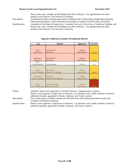#### **Shasta County Local Appointments List December 2021**

Shasta Lake, and 1 member of the Redding Area Bus Authority. City appointments are made annually at the Mayors' City Selection Committee.

Description: Transportation policy-making organization, handling issues of long-range transportation planning, improvement programs, annual planning work programs, budgets, and other policy documents. Qualifications: 3 members of the Board of Supervisors, 1 member from each of the Cities of Anderson, Redding, and

Shasta Lake, and 1 member of the Redding Area Bus Authority. City appointments are made annually at the Mayors' City Selection Committee.

| <b>Seat</b>         | Member                       | Appointed   | Term End |
|---------------------|------------------------------|-------------|----------|
|                     |                              |             |          |
| Seat 1              | <b>Patrick Jones</b>         | Annual      |          |
|                     |                              |             |          |
| Supervisor          | Supervisor                   | Appointment | 1/15/22  |
|                     |                              |             |          |
| Alternate 1         | Mary Rickert                 | Annual      |          |
| Supervisor          | Supervisor                   | Appointment | 1/15/22  |
| Seat 2              |                              |             |          |
| Public Member       | Larry Brandon                | 5/20/14     | N/A      |
|                     |                              |             |          |
|                     |                              |             |          |
| Seat 3              | <b>Steve Bade</b>            | Annual      |          |
| City of Redding     | Deputy City Manager          | Appointment | 1/15/22  |
|                     |                              |             |          |
| Alternate 2         | <b>Jeff Kiser</b>            | Annual      |          |
| City of Anderson    | <b>Anderson City Manager</b> | Appointment | 1/15/22  |
|                     |                              |             |          |
|                     |                              |             |          |
| Seat 4              | Pamelyn Morgan               | Annual      |          |
| City of Shasta Lake | Shasta Lake Mayor            | Appointment | 1/15/21  |

#### **Superior California Economic Development District**

Terms: Indefinite; Supervisors appointed via annual Chairman's Appointments in January. Shasta County appoints 2 Supervisors as directors, 2 as alternates, and 1 public member as director; additional members appointed by Modoc, Siskiyou, and Trinity counties.

Description: Four-county agency; handles commercial real estate loans and refinancing, business loans, and economic development planning.

Qualifications: Shasta County appoints 2 Supervisors as directors, 2 as alternates, and 1 public member as director; additional members appointed by Modoc, Siskiyou, and Trinity counties.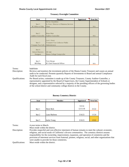| <b>Seat</b>             | Member                                  | Appointed | Term End |
|-------------------------|-----------------------------------------|-----------|----------|
|                         | De'An Chambless                         |           |          |
| Seat 1                  | Sr. Exec. Director of Business Services |           |          |
| SC Office of Edu.       | Chair                                   |           | N/A      |
|                         |                                         |           |          |
|                         |                                         |           |          |
| Seat 2                  | Brian Muir                              |           |          |
| Auditor-Controller      | Auditor-Controller                      |           | N/A      |
|                         |                                         |           |          |
|                         | Lori J. Scott                           |           |          |
| Seat 3                  | Treasurer-Tax Collector-Public          |           |          |
| Treasuer-Tax Coll.      | Administrator                           |           | N/A      |
|                         |                                         |           |          |
| Seat 4                  |                                         |           |          |
| <b>School Districts</b> | Jill Ault                               |           |          |
| Designee                | Shasta College Comptroller              |           | N/A      |
|                         |                                         |           |          |
|                         |                                         |           |          |
| Seat 5                  | Terri Howat                             |           |          |
| BOS Rep.                | SC Chief Financial Officer              |           | N/A      |

#### **Treasury Oversight Committee**

Terms: Indefinite

Description: Reviews and monitors the investment policies of the Shasta County Treasurer and causes an annual audit to be conducted. Presents quarterly Reports of Investments to Board and annual Compliance Audit for each fiscal year.

Qualifications: Per Board action, committee is made up of the County Treasurer, County Auditor-Controller, a representative appointed by the Board of Supervisors, the County Superintendent of Schools or designee, and a representative selected by a majority of the presiding officers of the governing bodies of the school district and community college districts in the County.

| <b>Seat</b> | Member        | Appointed | Term End |
|-------------|---------------|-----------|----------|
|             |               |           |          |
|             |               | 5/5/14    |          |
| Seat 1      | Marie Beck    | 12/11/18  | 3/1/22   |
|             |               |           |          |
| Seat 2      | Laura Mathews | 3/16/21   | 1/1/24   |
|             |               |           |          |
| Seat 3      | Jackie Young  | 3/16/21   | 1/3/22   |

#### **Burney Cemetery District**

Terms: 4-year terms to March.

Must reside within the district.

Description: Provides respectful and cost-effective interment of human remains to meet the cultural, economic, religious, and social needs of California's diverse communities. The cemetery districts assume responsibility for the ownership, improvement, expansion, and operation of cemeteries and the provision of interment services from fraternal, pioneer, religious, social, and other organizations that were unable to provide for those cemeteries.

Qualifications: Must reside within the district.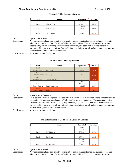| Seat   | <b>Member</b>         | Appointed | Term End |
|--------|-----------------------|-----------|----------|
|        |                       | 3/14/17   |          |
| Seat 1 | Claudia Fletcher      | 4/16/19   | 1/2/23   |
|        |                       | 07/23/19  |          |
| Seat 2 | <b>Rick Danielson</b> | 3/16/21   | 2/6/25   |
|        |                       |           |          |
| Seat 3 | Cynthia Sisk          | 12/10/19  | 1/1/24   |

#### **Halcumb Public Cemetery District**

Terms: 4-year terms to May.

Description: Provides respectful and cost-effective interment of human remains to meet the cultural, economic, religious, and social needs of California's diverse communities. The cemetery districts assume responsibility for the ownership, improvement, expansion, and operation of cemeteries and the provision of interment services from fraternal, pioneer, religious, social, and other organizations that were unable to provide for those cemeteries.

Qualifications: Must reside within the district.

| <b>Seat</b>          | Member         | Appointed | Term End |
|----------------------|----------------|-----------|----------|
| Seat 1               |                |           |          |
| Tehama County        | John Alger     | 4/8/97    | 12/1/21  |
| Seat 2               |                |           |          |
| Tehama County        | David Sproul   | 5/9/17    | 12/1/21  |
| Seat 3               |                |           |          |
| Tehama County        | George Swetzer |           | 12/1/21  |
|                      |                | 7/26/11   |          |
| Seat 4               |                | 12/4/18   |          |
| Shasta County        | Kay Zimmerman  | 12/08/20  | 1/1/24   |
| Seat 5               |                |           |          |
| <b>Shasta County</b> | <b>VACANT</b>  |           | 1/1/24   |

#### **Manton Joint Cemetery District**

Terms: 4-year terms to December.

Description: Multi-county; Provides respectful and cost-effective interment of human remains to meet the cultural, economic, religious, and social needs of California's diverse communities. The cemetery districts assume responsibility for the ownership, improvement, expansion, and operation of cemeteries and the provision of interment services from fraternal, pioneer, religious, social, and other organizations that were unable to provide for those cemeteries.

Qualifications: Must reside within the district.

| <b>Seat</b> | <b>Member</b> | Appointed | Term End |
|-------------|---------------|-----------|----------|
|             |               | 5/6/08    |          |
|             |               | 4/5/16    |          |
| Seat 1      | Rod Miranda   | 3/10/20   | 1/1/24   |
|             |               |           |          |
| Seat 2      | Ken Burns     | 2/26/19   | 3/31/22  |
|             |               | 6/17/08   |          |
|             |               | 4/5/16    |          |
| Seat 3      | Ronald Rourke | 3/10/20   | 1/1/24   |

### **Millville Masonic & Odd Fellows Cemetery District**

Terms: 4-year terms to March.

Description: Provides respectful and cost-effective interment of human remains to meet the cultural, economic, religious, and social needs of California's diverse communities. The cemetery districts assume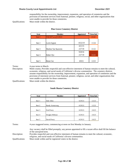#### **Shasta County Local Appointments List December 2021**

responsibility for the ownership, improvement, expansion, and operation of cemeteries and the provision of interment services from fraternal, pioneer, religious, social, and other organizations that were unable to provide for those cemeteries.

Qualifications: Must reside within the district.

| <b>Seat</b> | Member                | Appointed | Term End |
|-------------|-----------------------|-----------|----------|
| Seat 1      | VACANT as of 5/20/21  |           | 3/1/22   |
|             |                       |           |          |
| Seat 2      | Lorrie Ingram         | 10/22/19  | 1/1/24   |
|             |                       | 4/21/15   |          |
| Seat 3      | Marlene Van Staaveren | 2/27/18   | 3/1/22   |
|             |                       | 9/20/16   |          |
| Seat 4      | Robert Dye            | 2/27/18   | 3/1/21   |
|             |                       |           |          |
| Seat 5      | Renee Coe             | 6/8/21    | 1/2/23   |

#### **Pine Grove Cemetery District**

Terms: 4-year terms to March.

Description: Multi-county; Provides respectful and cost-effective interment of human remains to meet the cultural, economic, religious, and social needs of California's diverse communities. The cemetery districts assume responsibility for the ownership, improvement, expansion, and operation of cemeteries and the provision of interment services from fraternal, pioneer, religious, social, and other organizations that were unable to provide for those cemeteries.

Qualifications: Must reside within the district.

#### **South Shasta Cemetery District**

| <b>Seat</b> | Member          | Appointed | Term End |
|-------------|-----------------|-----------|----------|
|             |                 |           |          |
| Seat 1      | Dale Allen      | 6/29/21   | 1/2/23   |
|             |                 |           |          |
| Seat 2      | Randy Armstrong | 6/29/21   | 1/2/23   |
|             |                 |           |          |
| Seat 3      | Fred Peery      | 6/29/21   | 1/6/25   |
|             |                 |           |          |
| Seat 4      | Douglas Hillman | 6/29/21   | 1/6/25   |
|             |                 |           |          |
| Seat 5      | David Peery     | 6/29/21   | 1/6/25   |

Terms: 4-year staggered terms, commencing at noon on first Monday in January.

Any vacancy shall be filled promptly; any person appointed to fill a vacant office shall fill the balance of the unexpired term.

Description: Provides respectful and cost-effective interment of human remains to meet the cultural, economic, religious, and social needs of California's diverse communities.

Qualifications: Must reside within and be registered voters in the district.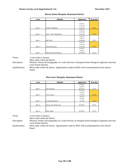| <b>Seat</b> | Member               | Appointed | Term End |
|-------------|----------------------|-----------|----------|
|             |                      |           |          |
|             |                      | 7/18/17   |          |
|             |                      | 2/27/18   |          |
| Seat 1      | Walter Caldwell      | 11/5/19   | 1/3/22   |
|             |                      | 7/18/17   |          |
|             |                      | 2/27/18   |          |
| Seat 2      | Jerry "Abe" Hathaway | 11/5/19   | 1/3/22   |
|             |                      | 7/18/17   |          |
|             |                      | 1/8/19    |          |
| Seat 3      | <b>Bill Ford</b>     | 12/08/20  | 1/2/23   |
|             |                      | 7/18/17   |          |
|             |                      | 2/27/18   |          |
| Seat 4      | Chad Arseneau        | 11/5/19   | 1/3/22   |
|             |                      | 7/18/17   |          |
|             |                      | 1/8/19    |          |
| Seat 5      | Dana Thomas Murray   | 12/08/20  | 1/2/23   |

#### **Burney Basin Mosquito Abatement District**

Terms: 2-year terms to January. Must reside within the district.

Description: Monitors climate and topography of a wide diversity of mosquito borne biological organisms that may cause human diseases.

Qualifications: Must reside within the district. Appointments made by BOS with recommendations from district Board.

### **Pine Grove Mosquito Abatement District**

| <b>Seat</b> | Member              | Appointed | <b>Term End</b> |
|-------------|---------------------|-----------|-----------------|
|             |                     | 1/16/07   |                 |
|             |                     | 1/8/19    |                 |
| Seat 1      | <b>Jeff Earnest</b> | 8/10/21   | 1/2/23          |
|             |                     | 2/25/15   |                 |
|             |                     | 1/8/19    |                 |
| Seat 2      | Tim Lakey           | 1/7/20    | 1/3/22          |
|             |                     | 3/9/10    |                 |
|             |                     | 1/8/19    |                 |
| Seat 3      | Lynda McDaniel      | 1/7/20    | 1/3/22          |
|             |                     |           |                 |
| Seat 4      | Kayse Van Staaveren | 8/10/21   | 1/2/23          |
|             |                     |           |                 |
|             |                     |           |                 |
| Seat 5      | Julie Allen         | 8/10/21   | 1/2/23          |

Terms: 2-year terms to January.

Must reside within the district.

Description: Monitors climate and topography of a wide diversity of mosquito borne biological organisms that may cause human diseases.

Qualifications: Must reside within the district. Appointments made by BOS with recommendations from district Board.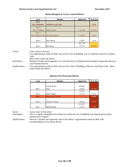#### **Shasta County Local Appointments List County Countries 2021**

| <b>Seat</b>         | <b>Member</b>        | Appointed | Term End |
|---------------------|----------------------|-----------|----------|
| Seat 1              |                      |           |          |
| City of Anderson    | VACANT as of 1/1/20  |           | 1/1/24   |
| Seat 2              |                      |           |          |
| City of Redding     | <b>Philip Cramer</b> | 1/21/20   | 12/31/22 |
| Seat 3              |                      |           |          |
| City of Shasta Lake | Ann Morningstar      | 1/20/18   | 1/2/23   |
|                     |                      |           |          |
| Seat 4              | Dave Maron           | 3/16/21   | 1/1/24   |
|                     |                      | 04/17/18  |          |
| Seat 5              | Ben Hanna            | 12/7/21   | 12/31/21 |

#### **Shasta Mosquito & Vector Control District**

Terms: 4-year terms to January.

Two appointments made by BOS; one each by City of Redding, City of Anderson, and City of Shasta Lake.

Must reside within the district.

Description: Monitors climate and topography of a wide diversity of mosquito borne biological organisms that may cause human diseases.

Qualifications: Two appointments made by BOS; one each by Cities of Redding, Anderson, and Shasta Lake. Must reside within the district.

#### **Buckeye Fire Protection District**

| Seat   | Member                 | Appointed | <b>Term End</b> |
|--------|------------------------|-----------|-----------------|
|        |                        |           |                 |
|        | Fred M. Braun          | 9/30/86   |                 |
| Seat 1 | Chair                  | 2/6/18    | 12/3/21         |
|        |                        | 1/13/15   |                 |
| Seat 2 | Mark Wagner            | 1/15/19   | 12/2/22         |
| Seat 3 | vacant as of $2/23/21$ |           | 12/3/21         |
|        |                        |           |                 |
| Seat 4 | Nicholas S. Braun      | 2/6/18    | 12/3/21         |
|        |                        | 10/12/97  |                 |
| Seat 5 | Michael Smith          | 2/6/18    | 12/3/21         |

Terms: 4-year terms to December.

Description: This is a legally independent fire district for which the City of Redding Fire Department provides administrative support.

Qualifications: Must be a resident and registered voter of the district. Appointments made by BOS with recommendations from district Board.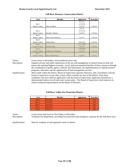| <b>Seat</b>   | Member               | Appointed  | <b>Term End</b> |
|---------------|----------------------|------------|-----------------|
|               |                      | 5/17/11    |                 |
| Seat 1        |                      | 12/13/16   |                 |
| Shasta County | Clay Jacobson        | 2/23/21    | 11/29/24        |
|               |                      | 4/5/16     |                 |
| Seat 2        |                      | 12/13/16   |                 |
| Shasta County | Donald J. Martin     | 2/23/21    | 11/29/24        |
| Seat 3        |                      |            |                 |
| Shasta County | Chris Christofferson | 2/23/21    | 11/29/24        |
| Seat 4        |                      |            |                 |
| Shasta County | Daniel Klatt         | 10/15/19   | 11/25/22        |
| Seat 5        |                      | 11/27/2007 |                 |
| Lassen County | Patrick Oilar        | 3/26/19    | 11/25/22        |
| Seat 6        |                      | 7/18/2000  |                 |
| Lassen County | William M. Buckman   | 3/26/19    | 11/25/22        |
| Seat 7        |                      |            |                 |
| Lassen County | Chuck McFarlane      | 3/26/19    | 11/25/22        |

#### **Fall River Resource Conservation District**

Terms: 4-year terms to December; even-numbered years only.

Description: Supports private and public landowners in the use and management of natural resources that will ensure the sustained highest economic, social, and environmental benefits of these resources through the coordination of public agency referrals and information, the implementation of natural resource programs, education, and the organization of land management services.

Qualifications: Must reside within the district. Board of Supervisors appoints Directors, after consultation with the board of supervisors of any other county which contains any part of the district, from those candidates who have filed an application with the board of supervisors; applicants should have a demonstrated interest in soil and water conservation. The Board of Supervisors shall endeavor to achieve balanced representation on the Board of Directors.

#### **Fall River Valley Fire Protection District**

| Seat   | Member        | Appointed | Term End   |
|--------|---------------|-----------|------------|
| Seat 1 | <b>VACANT</b> |           | <b>TBD</b> |
| Seat 2 | <b>VACANT</b> |           | <b>TBD</b> |
| Seat 3 | <b>VACANT</b> |           | <b>TBD</b> |
| Seat 4 | <b>VACANT</b> |           | <b>TBD</b> |
| Seat 5 | <b>VACANT</b> |           | <b>TBD</b> |

Terms: 4-year terms until noon on first Friday in December. Description: Volunteer fire department, providing fire protection and emergency response for the Fall River area.

Qualifications: Must be residents of and registered voters in district.